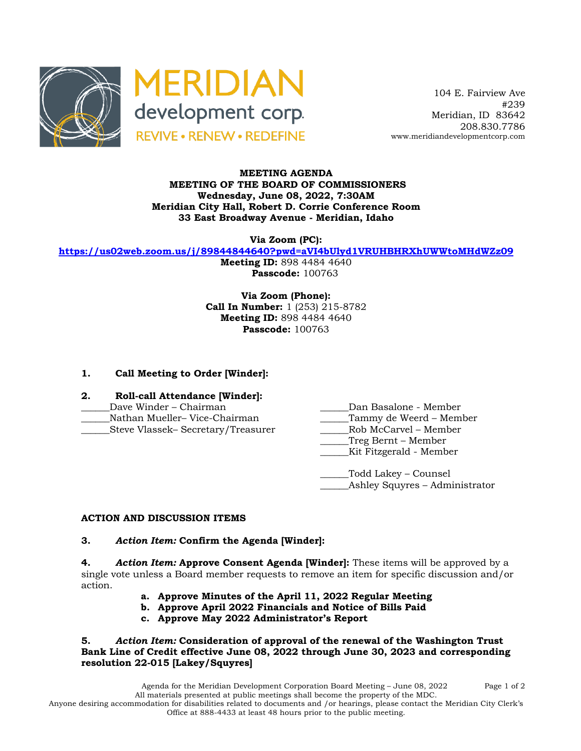



 104 E. Fairview Ave #239 Meridian, ID 83642 208.830.7786 www.meridiandevelopmentcorp.com

## **MEETING AGENDA MEETING OF THE BOARD OF COMMISSIONERS Wednesday, June 08, 2022, 7:30AM Meridian City Hall, Robert D. Corrie Conference Room 33 East Broadway Avenue - Meridian, Idaho**

**Via Zoom (PC):**

**https://us02web.zoom.us/j/89844844640?pwd=aVI4bUlyd1VRUHBHRXhUWWtoMHdWZz09**

**Meeting ID:** 898 4484 4640 **Passcode:** 100763

**Via Zoom (Phone): Call In Number:** 1 (253) 215-8782 **Meeting ID:** 898 4484 4640 **Passcode:** 100763

# **1. Call Meeting to Order [Winder]:**

- **2. Roll-call Attendance [Winder]:**
- 
- \_\_\_\_\_\_Nathan Mueller– Vice-Chairman \_\_\_\_\_\_Tammy de Weerd Member
- \_\_\_\_\_\_Steve Vlassek– Secretary/Treasurer \_\_\_\_\_\_Rob McCarvel Member
- Dave Winder Chairman **Dan Basalone Member** 
	-
	-
	- \_\_\_\_\_\_Treg Bernt Member
	- \_\_\_\_\_\_Kit Fitzgerald Member

\_\_\_\_\_\_Todd Lakey – Counsel Ashley Squyres – Administrator

## **ACTION AND DISCUSSION ITEMS**

#### **3.** *Action Item:* **Confirm the Agenda [Winder]:**

**4.** *Action Item:* **Approve Consent Agenda [Winder]:** These items will be approved by a single vote unless a Board member requests to remove an item for specific discussion and/or action.

- **a. Approve Minutes of the April 11, 2022 Regular Meeting**
- **b. Approve April 2022 Financials and Notice of Bills Paid**
- **c. Approve May 2022 Administrator's Report**

**5.** *Action Item:* **Consideration of approval of the renewal of the Washington Trust Bank Line of Credit effective June 08, 2022 through June 30, 2023 and corresponding resolution 22-015 [Lakey/Squyres]**